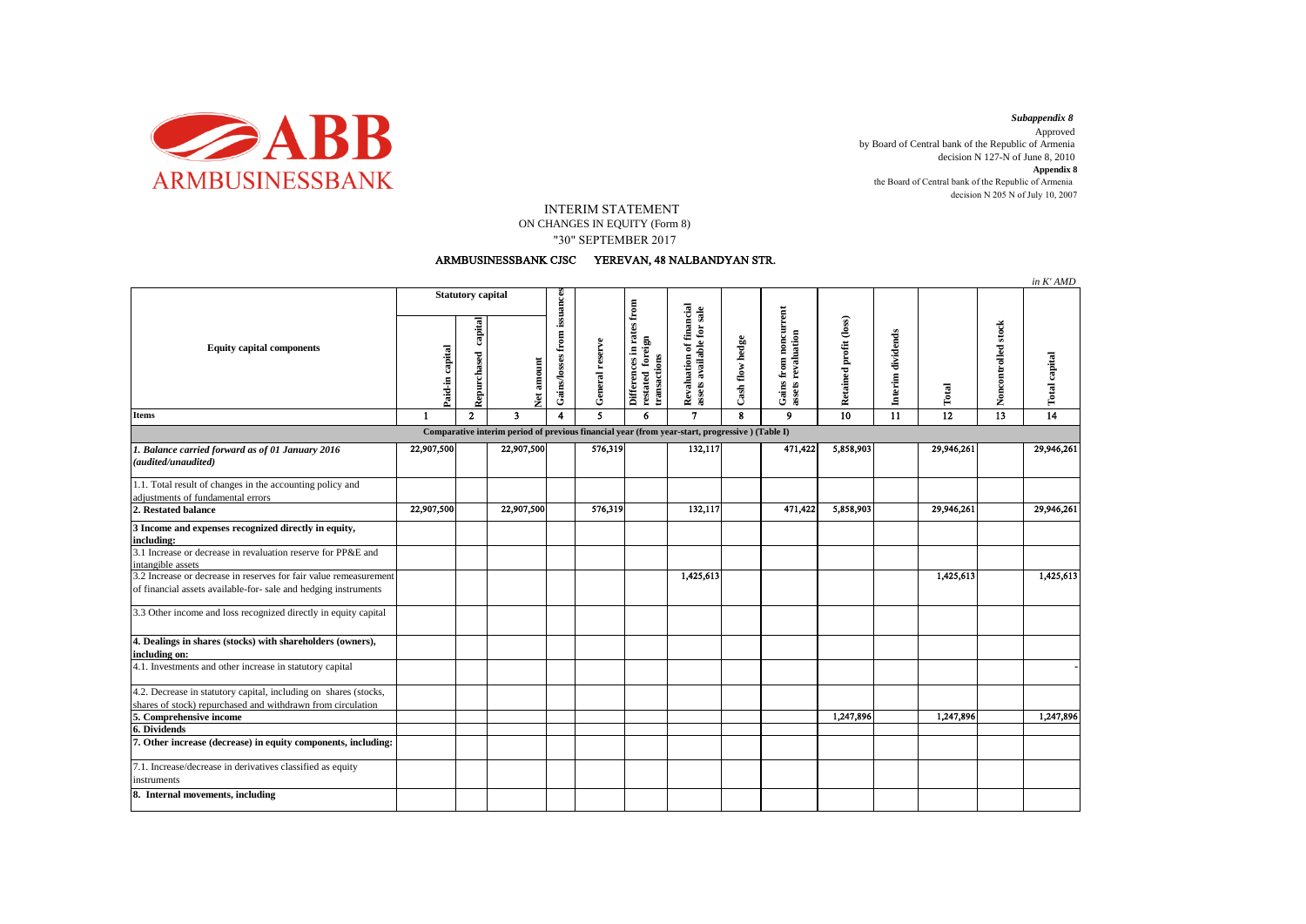

decision N 205 N of July 10, 2007 *Subappendix 8*  Approved by Board of Central bank of the Republic of Armenia decision N 127-N of June 8, 2010 **Appendix 8** the Board of Central bank of the Republic of Armenia

## INTERIM STATEMENT

ON CHANGES IN EQUITY (Form 8) "30" SEPTEMBER 2017

## ARMBUSINESSBANK CJSC YEREVAN, 48 NALBANDYAN STR.

|                                                                                                                                      |                          |                        |               |                             |                 |                                                               |                                                       |                 |                                             |                        |                   |            |                     | in K'AMD      |
|--------------------------------------------------------------------------------------------------------------------------------------|--------------------------|------------------------|---------------|-----------------------------|-----------------|---------------------------------------------------------------|-------------------------------------------------------|-----------------|---------------------------------------------|------------------------|-------------------|------------|---------------------|---------------|
| <b>Equity capital components</b>                                                                                                     | <b>Statutory capital</b> |                        |               |                             |                 |                                                               |                                                       |                 |                                             |                        |                   |            |                     |               |
|                                                                                                                                      | Paid-in capital          | capital<br>Repurchased | amount<br>Net | Gains/losses from issuances | General reserve | Differences in rates from<br>restated foreign<br>transactions | Revaluation of financial<br>assets available for sale | Cash flow hedge | Gains from noncurrent<br>assets revaluation | Retained profit (loss) | Interim dividends | Total      | Noncontrolled stock | Total capital |
| <b>Items</b>                                                                                                                         | $\mathbf{1}$             | $\mathbf{2}$           | 3             | 4                           | 5.              | 6                                                             | $\overline{7}$                                        | $\mathbf{R}$    | 9                                           | 10                     | $\overline{11}$   | 12         | $\overline{13}$     | 14            |
| Comparative interim period of previous financial year (from year-start, progressive) (Table I)                                       |                          |                        |               |                             |                 |                                                               |                                                       |                 |                                             |                        |                   |            |                     |               |
| 1. Balance carried forward as of 01 January 2016<br>(audited/unaudited)                                                              | 22,907,500               |                        | 22,907,500    |                             | 576,319         |                                                               | 132,117                                               |                 | 471,422                                     | 5,858,903              |                   | 29,946,261 |                     | 29,946,261    |
| 1.1. Total result of changes in the accounting policy and<br>adjustments of fundamental errors                                       |                          |                        |               |                             |                 |                                                               |                                                       |                 |                                             |                        |                   |            |                     |               |
| 2. Restated balance                                                                                                                  | 22,907,500               |                        | 22,907,500    |                             | 576,319         |                                                               | 132,117                                               |                 | 471,422                                     | 5,858,903              |                   | 29,946,261 |                     | 29,946,261    |
| 3 Income and expenses recognized directly in equity,<br>including:                                                                   |                          |                        |               |                             |                 |                                                               |                                                       |                 |                                             |                        |                   |            |                     |               |
| 3.1 Increase or decrease in revaluation reserve for PP&E and<br>intangible assets                                                    |                          |                        |               |                             |                 |                                                               |                                                       |                 |                                             |                        |                   |            |                     |               |
| 3.2 Increase or decrease in reserves for fair value remeasurement<br>of financial assets available-for- sale and hedging instruments |                          |                        |               |                             |                 |                                                               | 1,425,613                                             |                 |                                             |                        |                   | 1,425,613  |                     | 1,425,613     |
| 3.3 Other income and loss recognized directly in equity capital                                                                      |                          |                        |               |                             |                 |                                                               |                                                       |                 |                                             |                        |                   |            |                     |               |
| 4. Dealings in shares (stocks) with shareholders (owners),<br>including on:                                                          |                          |                        |               |                             |                 |                                                               |                                                       |                 |                                             |                        |                   |            |                     |               |
| 4.1. Investments and other increase in statutory capital                                                                             |                          |                        |               |                             |                 |                                                               |                                                       |                 |                                             |                        |                   |            |                     |               |
| 4.2. Decrease in statutory capital, including on shares (stocks,<br>shares of stock) repurchased and withdrawn from circulation      |                          |                        |               |                             |                 |                                                               |                                                       |                 |                                             |                        |                   |            |                     |               |
| 5. Comprehensive income                                                                                                              |                          |                        |               |                             |                 |                                                               |                                                       |                 |                                             | 1,247,896              |                   | 1,247,896  |                     | 1,247,896     |
| 6. Dividends                                                                                                                         |                          |                        |               |                             |                 |                                                               |                                                       |                 |                                             |                        |                   |            |                     |               |
| 7. Other increase (decrease) in equity components, including:                                                                        |                          |                        |               |                             |                 |                                                               |                                                       |                 |                                             |                        |                   |            |                     |               |
| 7.1. Increase/decrease in derivatives classified as equity<br>instruments                                                            |                          |                        |               |                             |                 |                                                               |                                                       |                 |                                             |                        |                   |            |                     |               |
| 8. Internal movements, including                                                                                                     |                          |                        |               |                             |                 |                                                               |                                                       |                 |                                             |                        |                   |            |                     |               |